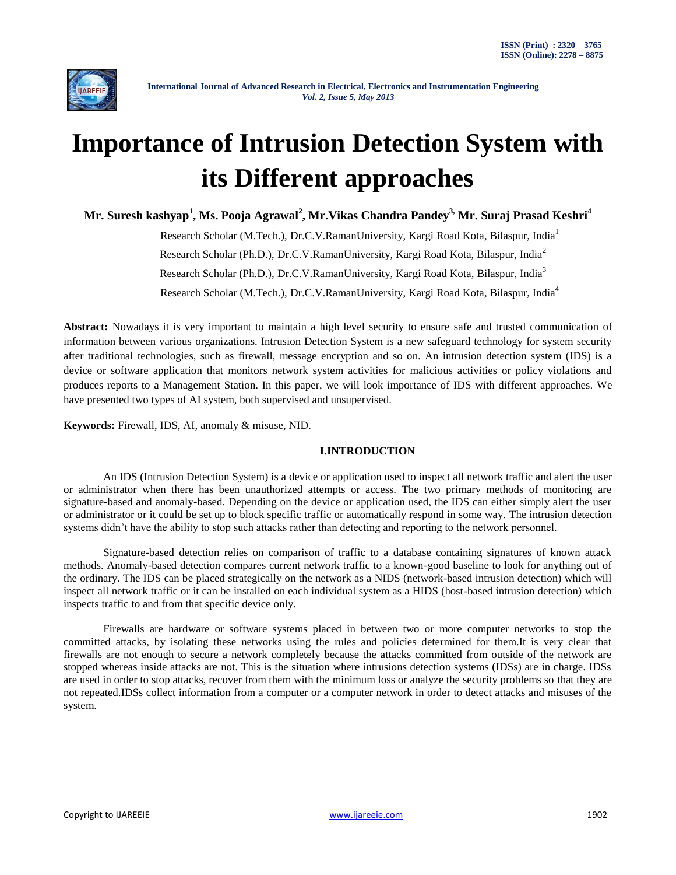

# **Importance of Intrusion Detection System with its Different approaches**

**Mr. Suresh kashyap<sup>1</sup> , Ms. Pooja Agrawal<sup>2</sup> , Mr.Vikas Chandra Pandey3, Mr. Suraj Prasad Keshri<sup>4</sup>**

Research Scholar (M.Tech.), Dr.C.V.RamanUniversity, Kargi Road Kota, Bilaspur, India<sup>1</sup> Research Scholar (Ph.D.), Dr.C.V.RamanUniversity, Kargi Road Kota, Bilaspur, India<sup>2</sup> Research Scholar (Ph.D.), Dr.C.V.RamanUniversity, Kargi Road Kota, Bilaspur, India<sup>3</sup> Research Scholar (M.Tech.), Dr.C.V.RamanUniversity, Kargi Road Kota, Bilaspur, India<sup>4</sup>

**Abstract:** Nowadays it is very important to maintain a high level security to ensure safe and trusted communication of information between various organizations. Intrusion Detection System is a new safeguard technology for system security after traditional technologies, such as firewall, message encryption and so on. An intrusion detection system (IDS) is a device or software application that monitors network system activities for malicious activities or policy violations and produces reports to a Management Station. In this paper, we will look importance of IDS with different approaches. We have presented two types of AI system, both supervised and unsupervised.

**Keywords:** Firewall, IDS, AI, anomaly & misuse, NID.

# **I.INTRODUCTION**

An IDS (Intrusion Detection System) is a device or application used to inspect all network traffic and alert the user or administrator when there has been unauthorized attempts or access. The two primary methods of monitoring are signature-based and anomaly-based. Depending on the device or application used, the IDS can either simply alert the user or administrator or it could be set up to block specific traffic or automatically respond in some way. The intrusion detection systems didn't have the ability to stop such attacks rather than detecting and reporting to the network personnel.

Signature-based detection relies on comparison of traffic to a database containing signatures of known attack methods. Anomaly-based detection compares current network traffic to a known-good baseline to look for anything out of the ordinary. The IDS can be placed strategically on the network as a NIDS (network-based intrusion detection) which will inspect all network traffic or it can be installed on each individual system as a HIDS (host-based intrusion detection) which inspects traffic to and from that specific device only.

Firewalls are hardware or software systems placed in between two or more computer networks to stop the committed attacks, by isolating these networks using the rules and policies determined for them.It is very clear that firewalls are not enough to secure a network completely because the attacks committed from outside of the network are stopped whereas inside attacks are not. This is the situation where intrusions detection systems (IDSs) are in charge. IDSs are used in order to stop attacks, recover from them with the minimum loss or analyze the security problems so that they are not repeated.IDSs collect information from a computer or a computer network in order to detect attacks and misuses of the system.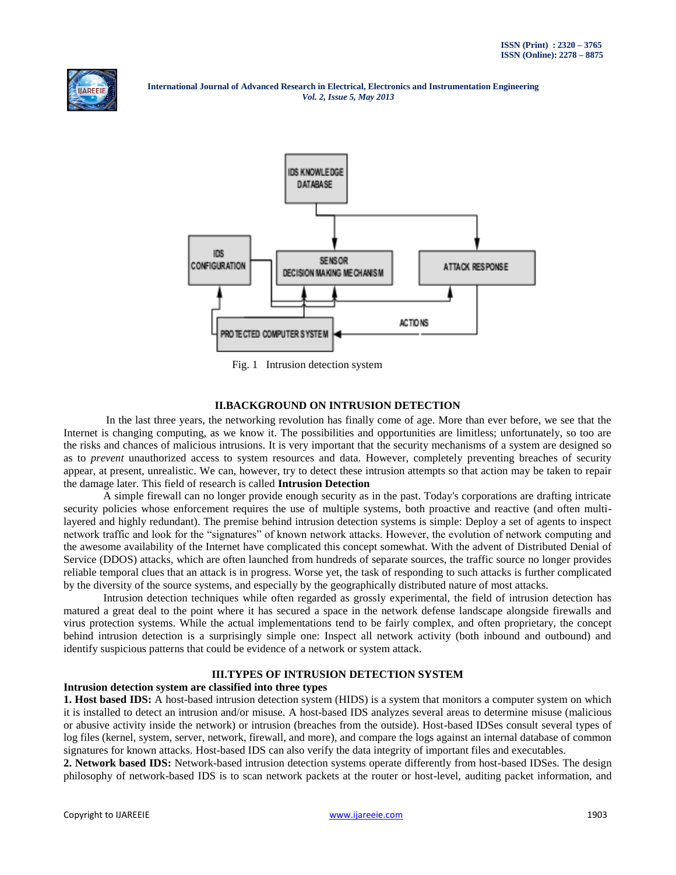



Fig. 1 Intrusion detection system

### **II.BACKGROUND ON INTRUSION DETECTION**

In the last three years, the networking revolution has finally come of age. More than ever before, we see that the Internet is changing computing, as we know it. The possibilities and opportunities are limitless; unfortunately, so too are the risks and chances of malicious intrusions. It is very important that the security mechanisms of a system are designed so as to *prevent* unauthorized access to system resources and data. However, completely preventing breaches of security appear, at present, unrealistic. We can, however, try to detect these intrusion attempts so that action may be taken to repair the damage later. This field of research is called **Intrusion Detection**

A simple firewall can no longer provide enough security as in the past. Today's corporations are drafting intricate security policies whose enforcement requires the use of multiple systems, both proactive and reactive (and often multilayered and highly redundant). The premise behind intrusion detection systems is simple: Deploy a set of agents to inspect network traffic and look for the "signatures" of known network attacks. However, the evolution of network computing and the awesome availability of the Internet have complicated this concept somewhat. With the advent of Distributed Denial of Service (DDOS) attacks, which are often launched from hundreds of separate sources, the traffic source no longer provides reliable temporal clues that an attack is in progress. Worse yet, the task of responding to such attacks is further complicated by the diversity of the source systems, and especially by the geographically distributed nature of most attacks.

Intrusion detection techniques while often regarded as grossly experimental, the field of intrusion detection has matured a great deal to the point where it has secured a space in the network defense landscape alongside firewalls and virus protection systems. While the actual implementations tend to be fairly complex, and often proprietary, the concept behind intrusion detection is a surprisingly simple one: Inspect all network activity (both inbound and outbound) and identify suspicious patterns that could be evidence of a network or system attack.

## **III.TYPES OF INTRUSION DETECTION SYSTEM**

#### **Intrusion detection system are classified into three types**

**1. Host based IDS:** A host-based intrusion detection system (HIDS) is a system that monitors a computer system on which it is installed to detect an intrusion and/or misuse. A host-based IDS analyzes several areas to determine misuse (malicious or abusive activity inside the network) or intrusion (breaches from the outside). Host-based IDSes consult several types of log files (kernel, system, server, network, firewall, and more), and compare the logs against an internal database of common signatures for known attacks. Host-based IDS can also verify the data integrity of important files and executables.

**2. Network based IDS:** Network-based intrusion detection systems operate differently from host-based IDSes. The design philosophy of network-based IDS is to scan network packets at the router or host-level, auditing packet information, and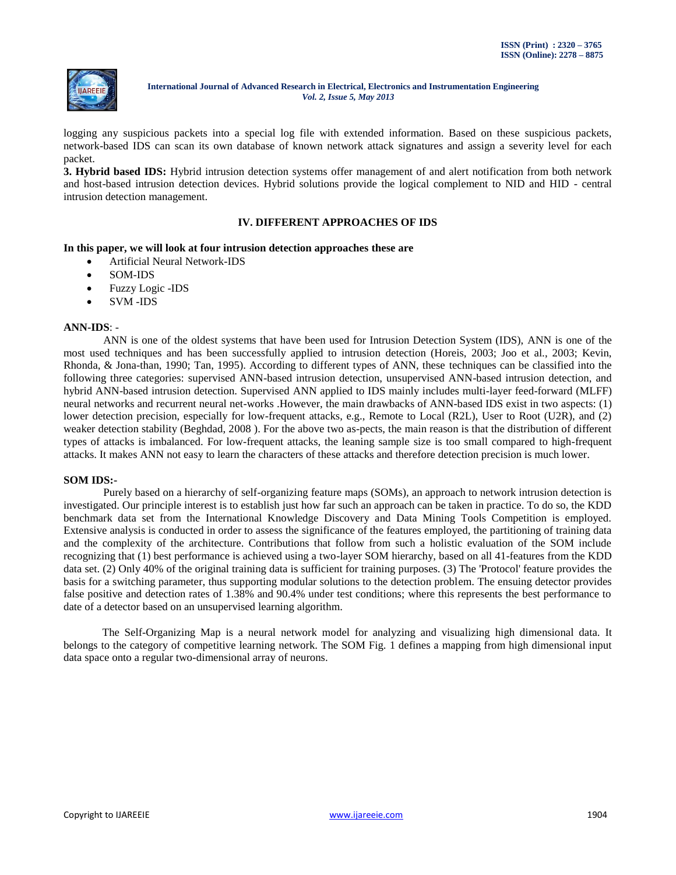

logging any suspicious packets into a special log file with extended information. Based on these suspicious packets, network-based IDS can scan its own database of known network attack signatures and assign a severity level for each packet.

**3. Hybrid based IDS:** Hybrid intrusion detection systems offer management of and alert notification from both network and host-based intrusion detection devices. Hybrid solutions provide the logical complement to NID and HID - central intrusion detection management.

### **IV. DIFFERENT APPROACHES OF IDS**

#### **In this paper, we will look at four intrusion detection approaches these are**

- Artificial Neural Network-IDS
- SOM-IDS
- Fuzzy Logic -IDS
- SVM -IDS

#### **ANN-IDS**: -

ANN is one of the oldest systems that have been used for Intrusion Detection System (IDS), ANN is one of the most used techniques and has been successfully applied to intrusion detection (Horeis, 2003; Joo et al., 2003; Kevin, Rhonda, & Jona-than, 1990; Tan, 1995). According to different types of ANN, these techniques can be classified into the following three categories: supervised ANN-based intrusion detection, unsupervised ANN-based intrusion detection, and hybrid ANN-based intrusion detection. Supervised ANN applied to IDS mainly includes multi-layer feed-forward (MLFF) neural networks and recurrent neural net-works .However, the main drawbacks of ANN-based IDS exist in two aspects: (1) lower detection precision, especially for low-frequent attacks, e.g., Remote to Local (R2L), User to Root (U2R), and (2) weaker detection stability (Beghdad, 2008 ). For the above two as-pects, the main reason is that the distribution of different types of attacks is imbalanced. For low-frequent attacks, the leaning sample size is too small compared to high-frequent attacks. It makes ANN not easy to learn the characters of these attacks and therefore detection precision is much lower.

#### **SOM IDS:-**

Purely based on a hierarchy of self-organizing feature maps (SOMs), an approach to network intrusion detection is investigated. Our principle interest is to establish just how far such an approach can be taken in practice. To do so, the KDD benchmark data set from the International Knowledge Discovery and Data Mining Tools Competition is employed. Extensive analysis is conducted in order to assess the significance of the features employed, the partitioning of training data and the complexity of the architecture. Contributions that follow from such a holistic evaluation of the SOM include recognizing that (1) best performance is achieved using a two-layer SOM hierarchy, based on all 41-features from the KDD data set. (2) Only 40% of the original training data is sufficient for training purposes. (3) The 'Protocol' feature provides the basis for a switching parameter, thus supporting modular solutions to the detection problem. The ensuing detector provides false positive and detection rates of 1.38% and 90.4% under test conditions; where this represents the best performance to date of a detector based on an unsupervised learning algorithm.

 The Self-Organizing Map is a neural network model for analyzing and visualizing high dimensional data. It belongs to the category of competitive learning network. The SOM Fig. 1 defines a mapping from high dimensional input data space onto a regular two-dimensional array of neurons.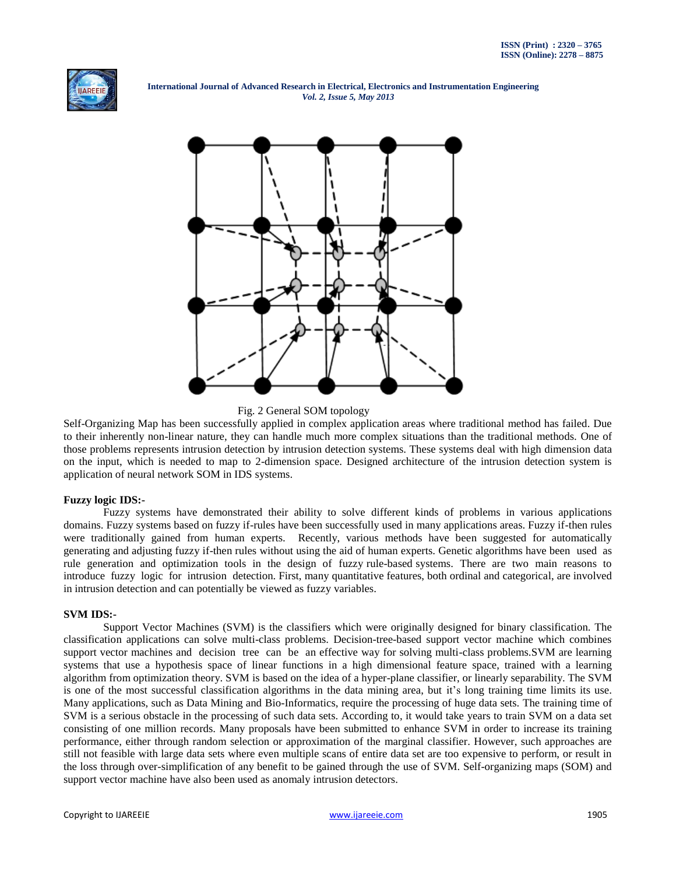



Fig. 2 General SOM topology

Self-Organizing Map has been successfully applied in complex application areas where traditional method has failed. Due to their inherently non-linear nature, they can handle much more complex situations than the traditional methods. One of those problems represents intrusion detection by intrusion detection systems. These systems deal with high dimension data on the input, which is needed to map to 2-dimension space. Designed architecture of the intrusion detection system is application of neural network SOM in IDS systems.

#### **Fuzzy logic IDS:-**

Fuzzy systems have demonstrated their ability to solve different kinds of problems in various applications domains. Fuzzy systems based on fuzzy if-rules have been successfully used in many applications areas. Fuzzy if-then rules were traditionally gained from human experts. Recently, various methods have been suggested for automatically generating and adjusting fuzzy if-then rules without using the aid of human experts. Genetic algorithms have been used as rule generation and optimization tools in the design of fuzzy rule-based systems. There are two main reasons to introduce fuzzy logic for intrusion detection. First, many quantitative features, both ordinal and categorical, are involved in intrusion detection and can potentially be viewed as fuzzy variables.

#### **SVM IDS:-**

Support Vector Machines (SVM) is the classifiers which were originally designed for binary classification. The classification applications can solve multi-class problems. Decision-tree-based support vector machine which combines support vector machines and decision tree can be an effective way for solving multi-class problems. SVM are learning systems that use a hypothesis space of linear functions in a high dimensional feature space, trained with a learning algorithm from optimization theory. SVM is based on the idea of a hyper-plane classifier, or linearly separability. The SVM is one of the most successful classification algorithms in the data mining area, but it"s long training time limits its use. Many applications, such as Data Mining and Bio-Informatics, require the processing of huge data sets. The training time of SVM is a serious obstacle in the processing of such data sets. According to, it would take years to train SVM on a data set consisting of one million records. Many proposals have been submitted to enhance SVM in order to increase its training performance, either through random selection or approximation of the marginal classifier. However, such approaches are still not feasible with large data sets where even multiple scans of entire data set are too expensive to perform, or result in the loss through over-simplification of any benefit to be gained through the use of SVM. Self-organizing maps (SOM) and support vector machine have also been used as anomaly intrusion detectors.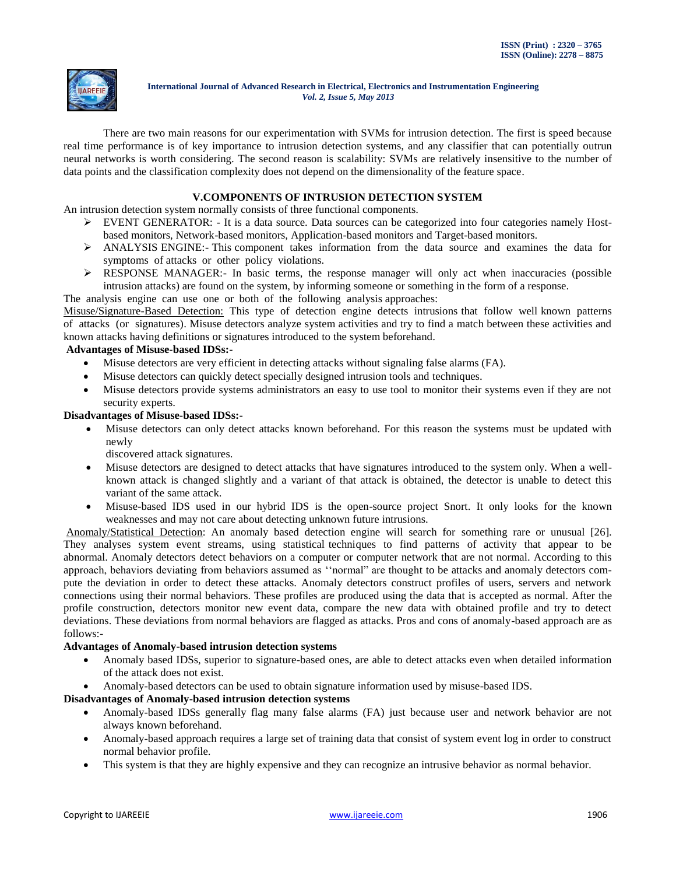

There are two main reasons for our experimentation with SVMs for intrusion detection. The first is speed because real time performance is of key importance to intrusion detection systems, and any classifier that can potentially outrun neural networks is worth considering. The second reason is scalability: SVMs are relatively insensitive to the number of data points and the classification complexity does not depend on the dimensionality of the feature space.

# **V.COMPONENTS OF INTRUSION DETECTION SYSTEM**

An intrusion detection system normally consists of three functional components.

- $\triangleright$  EVENT GENERATOR: It is a data source. Data sources can be categorized into four categories namely Hostbased monitors, Network-based monitors, Application-based monitors and Target-based monitors.
- ANALYSIS ENGINE:- This component takes information from the data source and examines the data for symptoms of attacks or other policy violations.
- RESPONSE MANAGER:- In basic terms, the response manager will only act when inaccuracies (possible intrusion attacks) are found on the system, by informing someone or something in the form of a response.

The analysis engine can use one or both of the following analysis approaches:

Misuse/Signature-Based Detection: This type of detection engine detects intrusions that follow well known patterns of attacks (or signatures). Misuse detectors analyze system activities and try to find a match between these activities and known attacks having definitions or signatures introduced to the system beforehand.

#### **Advantages of Misuse-based IDSs:-**

- Misuse detectors are very efficient in detecting attacks without signaling false alarms (FA).
- Misuse detectors can quickly detect specially designed intrusion tools and techniques.
- Misuse detectors provide systems administrators an easy to use tool to monitor their systems even if they are not security experts.

#### **Disadvantages of Misuse-based IDSs:-**

 Misuse detectors can only detect attacks known beforehand. For this reason the systems must be updated with newly

discovered attack signatures.

- Misuse detectors are designed to detect attacks that have signatures introduced to the system only. When a wellknown attack is changed slightly and a variant of that attack is obtained, the detector is unable to detect this variant of the same attack.
- Misuse-based IDS used in our hybrid IDS is the open-source project Snort. It only looks for the known weaknesses and may not care about detecting unknown future intrusions.

Anomaly/Statistical Detection: An anomaly based detection engine will search for something rare or unusual [26]. They analyses system event streams, using statistical techniques to find patterns of activity that appear to be abnormal. Anomaly detectors detect behaviors on a computer or computer network that are not normal. According to this approach, behaviors deviating from behaviors assumed as ""normal" are thought to be attacks and anomaly detectors compute the deviation in order to detect these attacks. Anomaly detectors construct profiles of users, servers and network connections using their normal behaviors. These profiles are produced using the data that is accepted as normal. After the profile construction, detectors monitor new event data, compare the new data with obtained profile and try to detect deviations. These deviations from normal behaviors are flagged as attacks. Pros and cons of anomaly-based approach are as follows:-

#### **Advantages of Anomaly-based intrusion detection systems**

- Anomaly based IDSs, superior to signature-based ones, are able to detect attacks even when detailed information of the attack does not exist.
- Anomaly-based detectors can be used to obtain signature information used by misuse-based IDS.

#### **Disadvantages of Anomaly-based intrusion detection systems**

- Anomaly-based IDSs generally flag many false alarms (FA) just because user and network behavior are not always known beforehand.
- Anomaly-based approach requires a large set of training data that consist of system event log in order to construct normal behavior profile.
- This system is that they are highly expensive and they can recognize an intrusive behavior as normal behavior.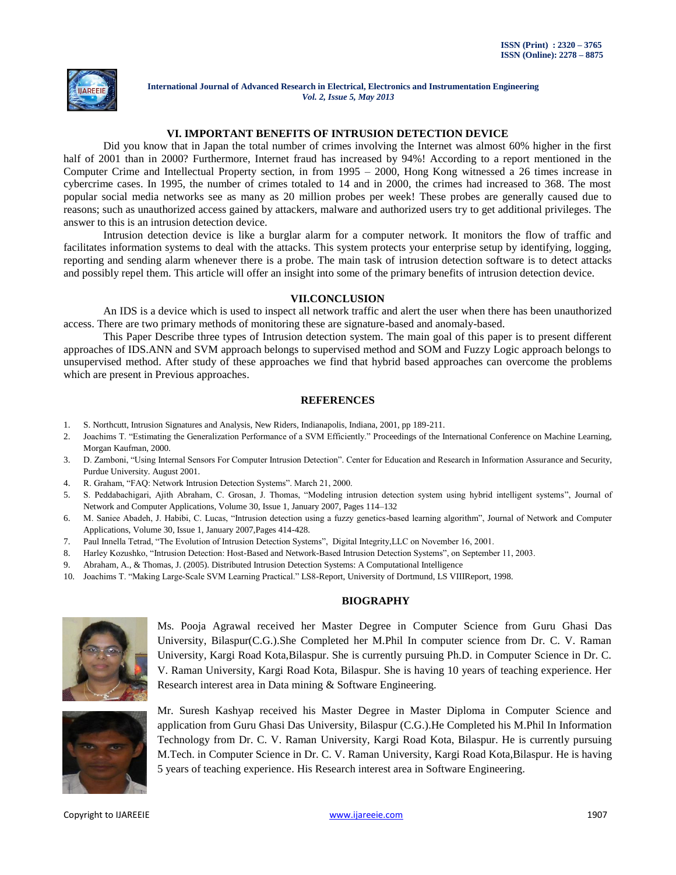

## **VI. IMPORTANT BENEFITS OF INTRUSION DETECTION DEVICE**

Did you know that in Japan the total number of crimes involving the Internet was almost 60% higher in the first half of 2001 than in 2000? Furthermore, Internet fraud has increased by 94%! According to a report mentioned in the Computer Crime and Intellectual Property section, in from 1995 – 2000, Hong Kong witnessed a 26 times increase in cybercrime cases. In 1995, the number of crimes totaled to 14 and in 2000, the crimes had increased to 368. The most popular social media networks see as many as 20 million probes per week! These probes are generally caused due to reasons; such as unauthorized access gained by attackers, malware and authorized users try to get additional privileges. The answer to this is an intrusion detection device.

[Intrusion detection device](http://www.cloudaccess.com/intrusion-detection) is like a burglar alarm for a computer network. It monitors the flow of traffic and facilitates information systems to deal with the attacks. This system protects your enterprise setup by identifying, logging, reporting and sending alarm whenever there is a probe. The main task of [intrusion detection software](http://www.cloudaccess.com/intrusion-detection) is to detect attacks and possibly repel them. This article will offer an insight into some of the primary benefits of intrusion detection device.

#### **VII.CONCLUSION**

An IDS is a device which is used to inspect all network traffic and alert the user when there has been unauthorized access. There are two primary methods of monitoring these are signature-based and anomaly-based.

This Paper Describe three types of Intrusion detection system. The main goal of this paper is to present different approaches of IDS.ANN and SVM approach belongs to supervised method and SOM and Fuzzy Logic approach belongs to unsupervised method. After study of these approaches we find that hybrid based approaches can overcome the problems which are present in Previous approaches.

## **REFERENCES**

- 1. S. Northcutt, Intrusion Signatures and Analysis, New Riders, Indianapolis, Indiana, 2001, pp 189-211.
- 2. Joachims T. "Estimating the Generalization Performance of a SVM Efficiently." Proceedings of the International Conference on Machine Learning, Morgan Kaufman, 2000.
- 3. D. Zamboni, "Using Internal Sensors For Computer Intrusion Detection". Center for Education and Research in Information Assurance and Security, Purdue University. August 2001.
- 4. R. Graham, "FAQ: Network Intrusion Detection Systems". March 21, 2000.
- 5. S. Peddabachigari, Ajith Abraham, C. Grosan, J. Thomas, "Modeling intrusion detection system using hybrid intelligent systems", Journal of Network and Computer Applications, Volume 30, Issue 1, January 2007, Pages 114–132
- 6. M. Saniee Abadeh, J. Habibi, C. Lucas, "Intrusion detection using a fuzzy genetics-based learning algorithm", Journal of Network and Computer Applications, Volume 30, Issue 1, January 2007,Pages 414-428.
- 7. Paul Innella Tetrad, "The Evolution of Intrusion Detection Systems", Digital Integrity,LLC on November 16, 2001.
- 8. Harley Kozushko, "Intrusion Detection: Host-Based and Network-Based Intrusion Detection Systems", on September 11, 2003.
- 9. Abraham, A., & Thomas, J. (2005). Distributed Intrusion Detection Systems: A Computational Intelligence
- 10. Joachims T. "Making Large-Scale SVM Learning Practical." LS8-Report, University of Dortmund, LS VIIIReport, 1998.

## **BIOGRAPHY**



Ms. Pooja Agrawal received her Master Degree in Computer Science from Guru Ghasi Das University, Bilaspur(C.G.).She Completed her M.Phil In computer science from Dr. C. V. Raman University, Kargi Road Kota,Bilaspur. She is currently pursuing Ph.D. in Computer Science in Dr. C. V. Raman University, Kargi Road Kota, Bilaspur. She is having 10 years of teaching experience. Her Research interest area in Data mining & Software Engineering.



Mr. Suresh Kashyap received his Master Degree in Master Diploma in Computer Science and application from Guru Ghasi Das University, Bilaspur (C.G.).He Completed his M.Phil In Information Technology from Dr. C. V. Raman University, Kargi Road Kota, Bilaspur. He is currently pursuing M.Tech. in Computer Science in Dr. C. V. Raman University, Kargi Road Kota,Bilaspur. He is having 5 years of teaching experience. His Research interest area in Software Engineering.